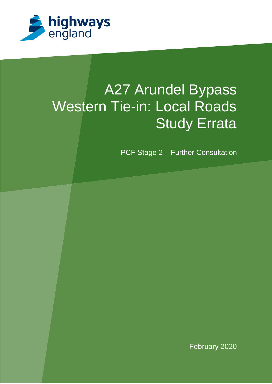

# A27 Arundel Bypass Western Tie-in: Local Roads **Study Errata**

PCF Stage 2 – Further Consultation

February 2020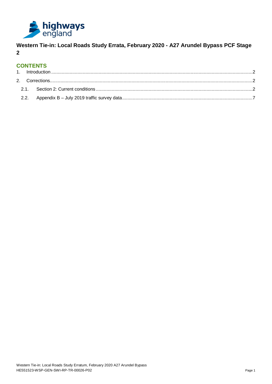

**Western Tie-in: Local Roads Study Errata, February 2020 - A27 Arundel Bypass PCF Stage 2**

# **CONTENTS**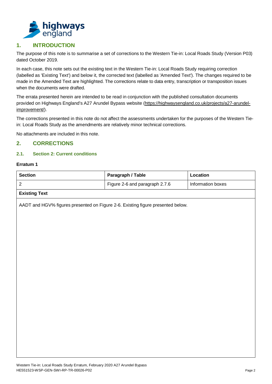

# <span id="page-2-0"></span>**1. INTRODUCTION**

The purpose of this note is to summarise a set of corrections to the Western Tie-in: Local Roads Study (Version P03) dated October 2019.

In each case, this note sets out the existing text in the Western Tie-in: Local Roads Study requiring correction (labelled as 'Existing Text') and below it, the corrected text (labelled as 'Amended Text'). The changes required to be made in the Amended Text are highlighted. The corrections relate to data entry, transcription or transposition issues when the documents were drafted.

The errata presented herein are intended to be read in conjunction with the published consultation documents provided on Highways England's A27 Arundel Bypass website [\(https://highwaysengland.co.uk/projects/a27-arundel](https://highwaysengland.co.uk/projects/a27-arundel-improvement/)[improvement/\)](https://highwaysengland.co.uk/projects/a27-arundel-improvement/).

The corrections presented in this note do not affect the assessments undertaken for the purposes of the Western Tiein: Local Roads Study as the amendments are relatively minor technical corrections.

No attachments are included in this note.

## <span id="page-2-1"></span>**2. CORRECTIONS**

## <span id="page-2-2"></span>**2.1. Section 2: Current conditions**

#### **Erratum 1**

| <b>Section</b>       | Paragraph / Table              | Location          |  |  |
|----------------------|--------------------------------|-------------------|--|--|
|                      | Figure 2-6 and paragraph 2.7.6 | Information boxes |  |  |
| <b>Existing Text</b> |                                |                   |  |  |

AADT and HGV% figures presented on Figure 2-6. Existing figure presented below.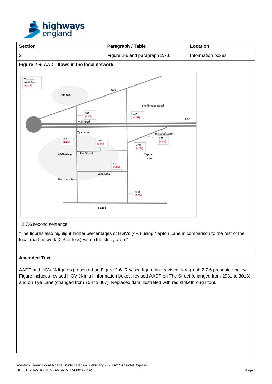



2.7.6 second sentence

"The figures also highlight higher percentages of HGVs (4%) using Yapton Lane in comparison to the rest of the local road network (2% or less) within the study area."

## **Amended Text**

AADT and HGV % figures presented on Figure 2-6. Revised figure and revised paragraph 2.7.6 presented below. Figure includes revised HGV % in all information boxes, revised AADT on The Street (changed from 2931 to 3013) and on Tye Lane (changed from 754 to 807). Replaced data illustrated with red strikethrough font.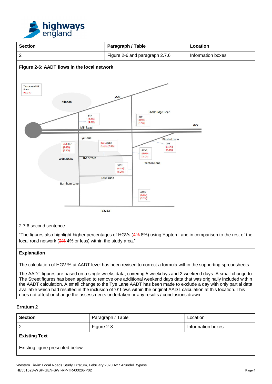



"The figures also highlight higher percentages of HGVs (4% 8%) using Yapton Lane in comparison to the rest of the local road network (2% 4% or less) within the study area."

#### **Explanation**

The calculation of HGV % at AADT level has been revised to correct a formula within the supporting spreadsheets.

The AADT figures are based on a single weeks data, covering 5 weekdays and 2 weekend days. A small change to The Street figures has been applied to remove one additional weekend days data that was originally included within the AADT calculation. A small change to the Tye Lane AADT has been made to exclude a day with only partial data available which had resulted in the inclusion of '0' flows within the original AADT calculation at this location. This does not affect or change the assessments undertaken or any results / conclusions drawn.

#### **Erratum 2**

| <b>Section</b>                   | Paragraph / Table | Location          |  |  |  |  |  |
|----------------------------------|-------------------|-------------------|--|--|--|--|--|
| $\overline{2}$                   | Figure 2-8        | Information boxes |  |  |  |  |  |
| <b>Existing Text</b>             |                   |                   |  |  |  |  |  |
| Existing figure presented below. |                   |                   |  |  |  |  |  |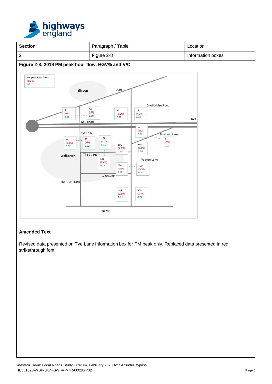



Revised data presented on Tye Lane information box for PM peak only. Replaced data presented in red strikethrough font.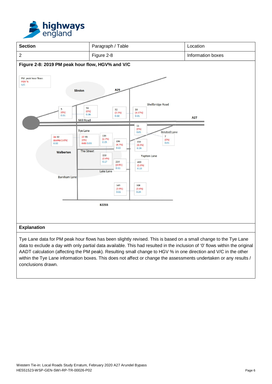



Tye Lane data for PM peak hour flows has been slightly revised. This is based on a small change to the Tye Lane data to exclude a day with only partial data available. This had resulted in the inclusion of '0' flows within the original AADT calculation (affecting the PM peak). Resulting small change to HGV % in one direction and V/C in the other within the Tye Lane information boxes. This does not affect or change the assessments undertaken or any results / conclusions drawn.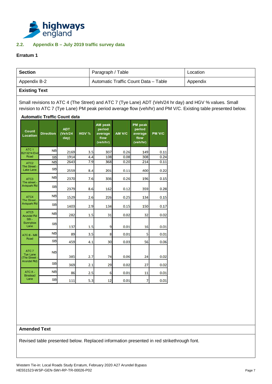

### <span id="page-7-0"></span>**2.2. Appendix B – July 2019 traffic survey data**

#### **Erratum 1**

| <b>Section</b>                         |                                                                                                                                                                                                                         |                               |            | Paragraph / Table                                |              |                                                  |               |  |  |
|----------------------------------------|-------------------------------------------------------------------------------------------------------------------------------------------------------------------------------------------------------------------------|-------------------------------|------------|--------------------------------------------------|--------------|--------------------------------------------------|---------------|--|--|
| Appendix B-2                           |                                                                                                                                                                                                                         |                               |            | Automatic Traffic Count Data - Table             |              |                                                  |               |  |  |
| <b>Existing Text</b>                   |                                                                                                                                                                                                                         |                               |            |                                                  |              |                                                  |               |  |  |
|                                        | Small revisions to ATC 4 (The Street) and ATC 7 (Tye Lane) ADT (Veh/24 hr day) and HGV % values. Small<br>revision to ATC 7 (Tye Lane) PM peak period average flow (veh/hr) and PM V/C. Existing table presented below. |                               |            |                                                  |              |                                                  |               |  |  |
| Count<br>Location                      | <b>Automatic Traffic Count data</b><br><b>Direction</b>                                                                                                                                                                 | <b>ADT</b><br>(Veh/24<br>day) | HGV %      | AM peak<br>period<br>average<br>flow<br>(veh/hr) | AM V/C       | PM peak<br>period<br>average<br>flow<br>(veh/hr) | <b>PM V/C</b> |  |  |
| ATC <sub>1</sub><br><b>B2132 N End</b> | <b>NB</b>                                                                                                                                                                                                               | 2169                          | 3.5        | 337                                              | 0.26         | 149                                              | 0.11          |  |  |
| Road<br>ATC <sub>2</sub>               | <b>SB</b><br><b>NB</b>                                                                                                                                                                                                  | 1914<br>2643                  | 4.4<br>7.9 | 108<br>368                                       | 0.08<br>0.20 | 308<br>214                                       | 0.24<br>0.11  |  |  |
| <b>The Street</b><br>Lake Lane         | <b>SB</b>                                                                                                                                                                                                               | 2559                          | 8.4        | 201                                              | 0.11         | 400                                              | 0.22          |  |  |
| ATC3                                   | <b>NB</b>                                                                                                                                                                                                               | 2370                          | 7.6        | 336                                              | 0.26         | 196                                              | 0.15          |  |  |
| The street -<br>Avispark Rd            | <b>SB</b>                                                                                                                                                                                                               | 2379                          | 8.6        | 162                                              | 0.12         | 359                                              | 0.28          |  |  |
| ATC4                                   | <b>NB</b>                                                                                                                                                                                                               | 1529                          | 2.6        | 226                                              | 0.25         | 134                                              | 0.15          |  |  |
| The Street -<br>Avispark Rd            | <b>SB</b>                                                                                                                                                                                                               | 1403                          | 2.9        | 134                                              | 0.15         | 150                                              | 0.17          |  |  |
| ATC <sub>5</sub><br><b>Arundel Rd</b>  | <b>NB</b>                                                                                                                                                                                                               | 282                           | 1.5        | 31                                               | 0.02         | 32                                               | 0.02          |  |  |
| Sth-<br>Sunnybox<br>Lane               | <b>SB</b>                                                                                                                                                                                                               | 137                           | 1.5        | 9                                                | 0.01         | 16                                               | 0.01          |  |  |
| ATC 6 - Mill                           | <b>NB</b>                                                                                                                                                                                                               | 89                            | 3.5        | 8                                                | 0.01         | 5                                                | 0.01          |  |  |
| Road                                   | <b>SB</b>                                                                                                                                                                                                               | 459                           | 4.1        | 30                                               | 0.03         | 56                                               | 0.06          |  |  |
| ATC 7<br>Tye Lane<br><b>The Street</b> | <b>NB</b>                                                                                                                                                                                                               | 385                           | 2.7        | 74                                               | 0.06         | 24                                               | 0.02          |  |  |
| Arundel Rd)                            | <b>SB</b>                                                                                                                                                                                                               | 369                           | 2.1        | 29                                               | 0.02         | 27                                               | 0.02          |  |  |

 $0.01$ 

 $0.01$ 

 $11$ 

 $\overline{7}$ 

 $0.01$ 

 $0.01$ 

 $6 \overline{6}$ 

 $12$ 

#### **Amended Text**

ATC 8-

Binstead<br>Lane

**NB** 

**SB** 

86

111

 $2.5$ 

 $5.3$ 

Revised table presented below. Replaced information presented in red strikethrough font.